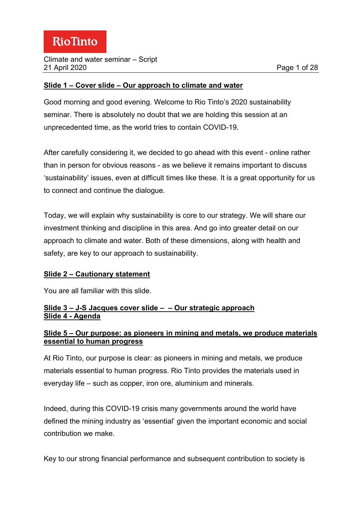#### **Slide 1 – Cover slide – Our approach to climate and water**

Good morning and good evening. Welcome to Rio Tinto's 2020 sustainability seminar. There is absolutely no doubt that we are holding this session at an unprecedented time, as the world tries to contain COVID-19.

After carefully considering it, we decided to go ahead with this event - online rather than in person for obvious reasons - as we believe it remains important to discuss 'sustainability' issues, even at difficult times like these. It is a great opportunity for us to connect and continue the dialogue.

Today, we will explain why sustainability is core to our strategy. We will share our investment thinking and discipline in this area. And go into greater detail on our approach to climate and water. Both of these dimensions, along with health and safety, are key to our approach to sustainability.

# **Slide 2 – Cautionary statement**

You are all familiar with this slide.

### **Slide 3 – J-S Jacques cover slide – – Our strategic approach Slide 4 - Agenda**

#### **Slide 5 – Our purpose: as pioneers in mining and metals, we produce materials essential to human progress**

At Rio Tinto, our purpose is clear: as pioneers in mining and metals, we produce materials essential to human progress. Rio Tinto provides the materials used in everyday life – such as copper, iron ore, aluminium and minerals.

Indeed, during this COVID-19 crisis many governments around the world have defined the mining industry as 'essential' given the important economic and social contribution we make.

Key to our strong financial performance and subsequent contribution to society is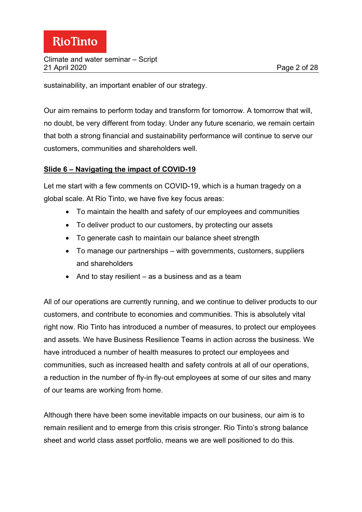sustainability, an important enabler of our strategy.

Our aim remains to perform today and transform for tomorrow. A tomorrow that will, no doubt, be very different from today. Under any future scenario, we remain certain that both a strong financial and sustainability performance will continue to serve our customers, communities and shareholders well.

#### **Slide 6 – Navigating the impact of COVID-19**

Let me start with a few comments on COVID-19, which is a human tragedy on a global scale. At Rio Tinto, we have five key focus areas:

- To maintain the health and safety of our employees and communities
- To deliver product to our customers, by protecting our assets
- To generate cash to maintain our balance sheet strength
- To manage our partnerships with governments, customers, suppliers and shareholders
- And to stay resilient as a business and as a team

All of our operations are currently running, and we continue to deliver products to our customers, and contribute to economies and communities. This is absolutely vital right now. Rio Tinto has introduced a number of measures, to protect our employees and assets. We have Business Resilience Teams in action across the business. We have introduced a number of health measures to protect our employees and communities, such as increased health and safety controls at all of our operations, a reduction in the number of fly-in fly-out employees at some of our sites and many of our teams are working from home.

Although there have been some inevitable impacts on our business, our aim is to remain resilient and to emerge from this crisis stronger. Rio Tinto's strong balance sheet and world class asset portfolio, means we are well positioned to do this.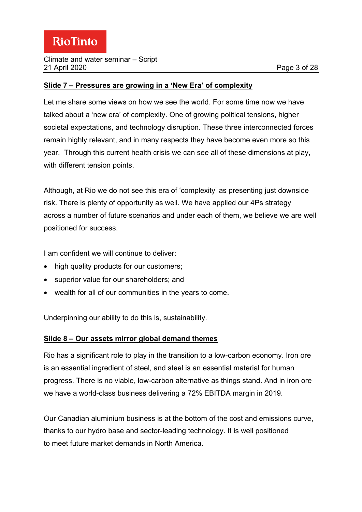#### Climate and water seminar – Script 21 April 2020 Page 3 of 28

#### **Slide 7 – Pressures are growing in a 'New Era' of complexity**

Let me share some views on how we see the world. For some time now we have talked about a 'new era' of complexity. One of growing political tensions, higher societal expectations, and technology disruption. These three interconnected forces remain highly relevant, and in many respects they have become even more so this year. Through this current health crisis we can see all of these dimensions at play, with different tension points.

Although, at Rio we do not see this era of 'complexity' as presenting just downside risk. There is plenty of opportunity as well. We have applied our 4Ps strategy across a number of future scenarios and under each of them, we believe we are well positioned for success.

I am confident we will continue to deliver:

- high quality products for our customers;
- superior value for our shareholders; and
- wealth for all of our communities in the years to come.

Underpinning our ability to do this is, sustainability.

# **Slide 8 – Our assets mirror global demand themes**

Rio has a significant role to play in the transition to a low-carbon economy. Iron ore is an essential ingredient of steel, and steel is an essential material for human progress. There is no viable, low-carbon alternative as things stand. And in iron ore we have a world-class business delivering a 72% EBITDA margin in 2019.

Our Canadian aluminium business is at the bottom of the cost and emissions curve, thanks to our hydro base and sector-leading technology. It is well positioned to meet future market demands in North America.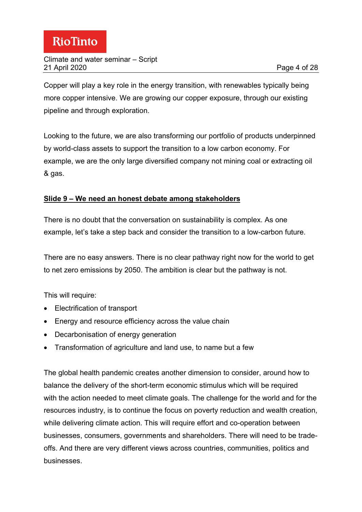Copper will play a key role in the energy transition, with renewables typically being more copper intensive. We are growing our copper exposure, through our existing pipeline and through exploration.

Looking to the future, we are also transforming our portfolio of products underpinned by world-class assets to support the transition to a low carbon economy. For example, we are the only large diversified company not mining coal or extracting oil & gas.

# **Slide 9 – We need an honest debate among stakeholders**

There is no doubt that the conversation on sustainability is complex. As one example, let's take a step back and consider the transition to a low-carbon future.

There are no easy answers. There is no clear pathway right now for the world to get to net zero emissions by 2050. The ambition is clear but the pathway is not.

This will require:

- Electrification of transport
- Energy and resource efficiency across the value chain
- Decarbonisation of energy generation
- Transformation of agriculture and land use, to name but a few

The global health pandemic creates another dimension to consider, around how to balance the delivery of the short-term economic stimulus which will be required with the action needed to meet climate goals. The challenge for the world and for the resources industry, is to continue the focus on poverty reduction and wealth creation, while delivering climate action. This will require effort and co-operation between businesses, consumers, governments and shareholders. There will need to be tradeoffs. And there are very different views across countries, communities, politics and businesses.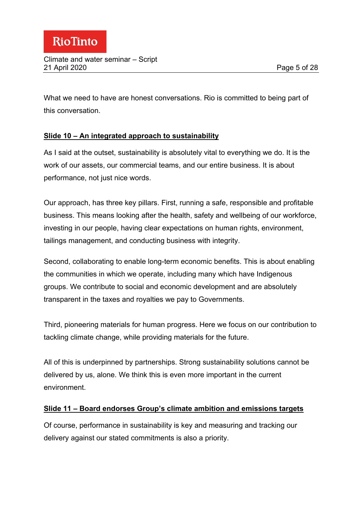What we need to have are honest conversations. Rio is committed to being part of this conversation.

# **Slide 10 – An integrated approach to sustainability**

As I said at the outset, sustainability is absolutely vital to everything we do. It is the work of our assets, our commercial teams, and our entire business. It is about performance, not just nice words.

Our approach, has three key pillars. First, running a safe, responsible and profitable business. This means looking after the health, safety and wellbeing of our workforce, investing in our people, having clear expectations on human rights, environment, tailings management, and conducting business with integrity.

Second, collaborating to enable long-term economic benefits. This is about enabling the communities in which we operate, including many which have Indigenous groups. We contribute to social and economic development and are absolutely transparent in the taxes and royalties we pay to Governments.

Third, pioneering materials for human progress. Here we focus on our contribution to tackling climate change, while providing materials for the future.

All of this is underpinned by partnerships. Strong sustainability solutions cannot be delivered by us, alone. We think this is even more important in the current environment.

#### **Slide 11 – Board endorses Group's climate ambition and emissions targets**

Of course, performance in sustainability is key and measuring and tracking our delivery against our stated commitments is also a priority.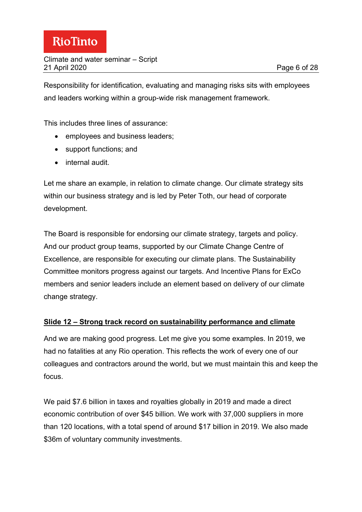Responsibility for identification, evaluating and managing risks sits with employees and leaders working within a group-wide risk management framework.

This includes three lines of assurance:

- employees and business leaders;
- support functions; and
- internal audit.

Let me share an example, in relation to climate change. Our climate strategy sits within our business strategy and is led by Peter Toth, our head of corporate development.

The Board is responsible for endorsing our climate strategy, targets and policy. And our product group teams, supported by our Climate Change Centre of Excellence, are responsible for executing our climate plans. The Sustainability Committee monitors progress against our targets. And Incentive Plans for ExCo members and senior leaders include an element based on delivery of our climate change strategy.

#### **Slide 12 – Strong track record on sustainability performance and climate**

And we are making good progress. Let me give you some examples. In 2019, we had no fatalities at any Rio operation. This reflects the work of every one of our colleagues and contractors around the world, but we must maintain this and keep the focus.

We paid \$7.6 billion in taxes and royalties globally in 2019 and made a direct economic contribution of over \$45 billion. We work with 37,000 suppliers in more than 120 locations, with a total spend of around \$17 billion in 2019. We also made \$36m of voluntary community investments.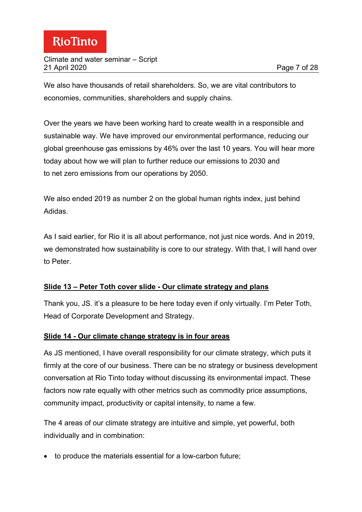We also have thousands of retail shareholders. So, we are vital contributors to economies, communities, shareholders and supply chains.

Over the years we have been working hard to create wealth in a responsible and sustainable way. We have improved our environmental performance, reducing our global greenhouse gas emissions by 46% over the last 10 years. You will hear more today about how we will plan to further reduce our emissions to 2030 and to net zero emissions from our operations by 2050.

We also ended 2019 as number 2 on the global human rights index, just behind Adidas.

As I said earlier, for Rio it is all about performance, not just nice words. And in 2019, we demonstrated how sustainability is core to our strategy. With that, I will hand over to Peter.

# **Slide 13 – Peter Toth cover slide - Our climate strategy and plans**

Thank you, JS. it's a pleasure to be here today even if only virtually. I'm Peter Toth, Head of Corporate Development and Strategy.

# **Slide 14 - Our climate change strategy is in four areas**

As JS mentioned, I have overall responsibility for our climate strategy, which puts it firmly at the core of our business. There can be no strategy or business development conversation at Rio Tinto today without discussing its environmental impact. These factors now rate equally with other metrics such as commodity price assumptions, community impact, productivity or capital intensity, to name a few.

The 4 areas of our climate strategy are intuitive and simple, yet powerful, both individually and in combination:

• to produce the materials essential for a low-carbon future;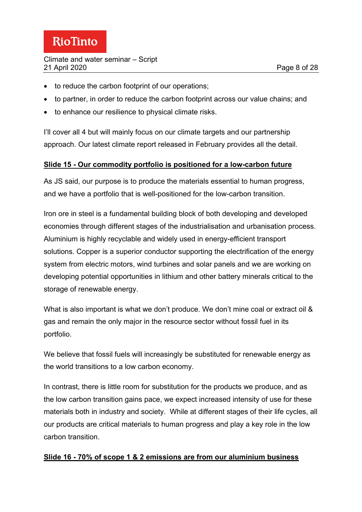- to reduce the carbon footprint of our operations;
- to partner, in order to reduce the carbon footprint across our value chains; and
- to enhance our resilience to physical climate risks.

I'll cover all 4 but will mainly focus on our climate targets and our partnership approach. Our latest climate report released in February provides all the detail.

#### **Slide 15 - Our commodity portfolio is positioned for a low-carbon future**

As JS said, our purpose is to produce the materials essential to human progress, and we have a portfolio that is well-positioned for the low-carbon transition.

Iron ore in steel is a fundamental building block of both developing and developed economies through different stages of the industrialisation and urbanisation process. Aluminium is highly recyclable and widely used in energy-efficient transport solutions. Copper is a superior conductor supporting the electrification of the energy system from electric motors, wind turbines and solar panels and we are working on developing potential opportunities in lithium and other battery minerals critical to the storage of renewable energy.

What is also important is what we don't produce. We don't mine coal or extract oil & gas and remain the only major in the resource sector without fossil fuel in its portfolio.

We believe that fossil fuels will increasingly be substituted for renewable energy as the world transitions to a low carbon economy.

In contrast, there is little room for substitution for the products we produce, and as the low carbon transition gains pace, we expect increased intensity of use for these materials both in industry and society. While at different stages of their life cycles, all our products are critical materials to human progress and play a key role in the low carbon transition.

#### **Slide 16 - 70% of scope 1 & 2 emissions are from our aluminium business**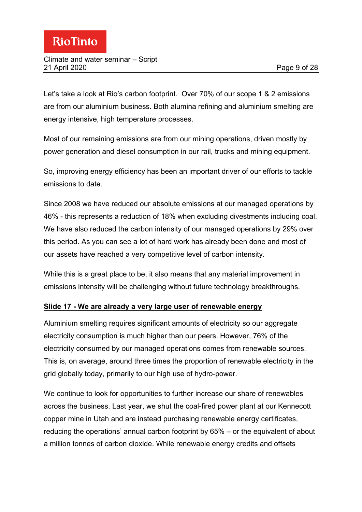Let's take a look at Rio's carbon footprint. Over 70% of our scope 1 & 2 emissions are from our aluminium business. Both alumina refining and aluminium smelting are energy intensive, high temperature processes.

Most of our remaining emissions are from our mining operations, driven mostly by power generation and diesel consumption in our rail, trucks and mining equipment.

So, improving energy efficiency has been an important driver of our efforts to tackle emissions to date.

Since 2008 we have reduced our absolute emissions at our managed operations by 46% - this represents a reduction of 18% when excluding divestments including coal. We have also reduced the carbon intensity of our managed operations by 29% over this period. As you can see a lot of hard work has already been done and most of our assets have reached a very competitive level of carbon intensity.

While this is a great place to be, it also means that any material improvement in emissions intensity will be challenging without future technology breakthroughs.

# **Slide 17 - We are already a very large user of renewable energy**

Aluminium smelting requires significant amounts of electricity so our aggregate electricity consumption is much higher than our peers. However, 76% of the electricity consumed by our managed operations comes from renewable sources. This is, on average, around three times the proportion of renewable electricity in the grid globally today, primarily to our high use of hydro-power.

We continue to look for opportunities to further increase our share of renewables across the business. Last year, we shut the coal-fired power plant at our Kennecott copper mine in Utah and are instead purchasing renewable energy certificates, reducing the operations' annual carbon footprint by 65% – or the equivalent of about a million tonnes of carbon dioxide. While renewable energy credits and offsets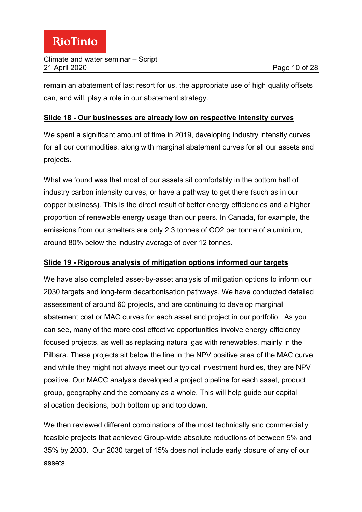#### Climate and water seminar – Script 21 April 2020 Page 10 of 28

remain an abatement of last resort for us, the appropriate use of high quality offsets can, and will, play a role in our abatement strategy.

### **Slide 18 - Our businesses are already low on respective intensity curves**

We spent a significant amount of time in 2019, developing industry intensity curves for all our commodities, along with marginal abatement curves for all our assets and projects.

What we found was that most of our assets sit comfortably in the bottom half of industry carbon intensity curves, or have a pathway to get there (such as in our copper business). This is the direct result of better energy efficiencies and a higher proportion of renewable energy usage than our peers. In Canada, for example, the emissions from our smelters are only 2.3 tonnes of CO2 per tonne of aluminium, around 80% below the industry average of over 12 tonnes.

# **Slide 19 - Rigorous analysis of mitigation options informed our targets**

We have also completed asset-by-asset analysis of mitigation options to inform our 2030 targets and long-term decarbonisation pathways. We have conducted detailed assessment of around 60 projects, and are continuing to develop marginal abatement cost or MAC curves for each asset and project in our portfolio. As you can see, many of the more cost effective opportunities involve energy efficiency focused projects, as well as replacing natural gas with renewables, mainly in the Pilbara. These projects sit below the line in the NPV positive area of the MAC curve and while they might not always meet our typical investment hurdles, they are NPV positive. Our MACC analysis developed a project pipeline for each asset, product group, geography and the company as a whole. This will help guide our capital allocation decisions, both bottom up and top down.

We then reviewed different combinations of the most technically and commercially feasible projects that achieved Group-wide absolute reductions of between 5% and 35% by 2030. Our 2030 target of 15% does not include early closure of any of our assets.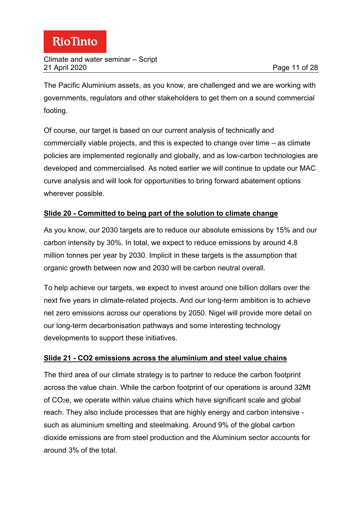The Pacific Aluminium assets, as you know, are challenged and we are working with governments, regulators and other stakeholders to get them on a sound commercial footing.

Of course, our target is based on our current analysis of technically and commercially viable projects, and this is expected to change over time – as climate policies are implemented regionally and globally, and as low-carbon technologies are developed and commercialised. As noted earlier we will continue to update our MAC curve analysis and will look for opportunities to bring forward abatement options wherever possible.

# **Slide 20 - Committed to being part of the solution to climate change**

As you know, our 2030 targets are to reduce our absolute emissions by 15% and our carbon intensity by 30%. In total, we expect to reduce emissions by around 4.8 million tonnes per year by 2030. Implicit in these targets is the assumption that organic growth between now and 2030 will be carbon neutral overall.

To help achieve our targets, we expect to invest around one billion dollars over the next five years in climate-related projects. And our long-term ambition is to achieve net zero emissions across our operations by 2050. Nigel will provide more detail on our long-term decarbonisation pathways and some interesting technology developments to support these initiatives.

# **Slide 21 - CO2 emissions across the aluminium and steel value chains**

The third area of our climate strategy is to partner to reduce the carbon footprint across the value chain. While the carbon footprint of our operations is around 32Mt of CO2e, we operate within value chains which have significant scale and global reach. They also include processes that are highly energy and carbon intensive such as aluminium smelting and steelmaking. Around 9% of the global carbon dioxide emissions are from steel production and the Aluminium sector accounts for around 3% of the total.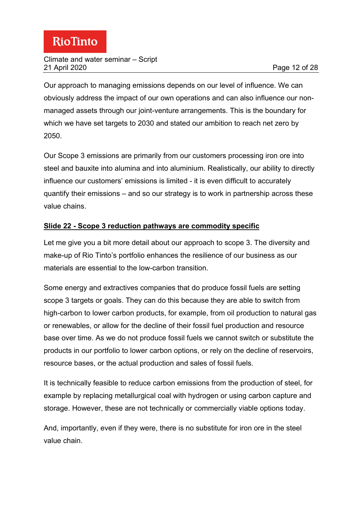#### Climate and water seminar – Script 21 April 2020 Page 12 of 28

Our approach to managing emissions depends on our level of influence. We can obviously address the impact of our own operations and can also influence our nonmanaged assets through our joint-venture arrangements. This is the boundary for which we have set targets to 2030 and stated our ambition to reach net zero by 2050.

Our Scope 3 emissions are primarily from our customers processing iron ore into steel and bauxite into alumina and into aluminium. Realistically, our ability to directly influence our customers' emissions is limited - it is even difficult to accurately quantify their emissions – and so our strategy is to work in partnership across these value chains.

# **Slide 22 - Scope 3 reduction pathways are commodity specific**

Let me give you a bit more detail about our approach to scope 3. The diversity and make-up of Rio Tinto's portfolio enhances the resilience of our business as our materials are essential to the low-carbon transition.

Some energy and extractives companies that do produce fossil fuels are setting scope 3 targets or goals. They can do this because they are able to switch from high-carbon to lower carbon products, for example, from oil production to natural gas or renewables, or allow for the decline of their fossil fuel production and resource base over time. As we do not produce fossil fuels we cannot switch or substitute the products in our portfolio to lower carbon options, or rely on the decline of reservoirs, resource bases, or the actual production and sales of fossil fuels.

It is technically feasible to reduce carbon emissions from the production of steel, for example by replacing metallurgical coal with hydrogen or using carbon capture and storage. However, these are not technically or commercially viable options today.

And, importantly, even if they were, there is no substitute for iron ore in the steel value chain.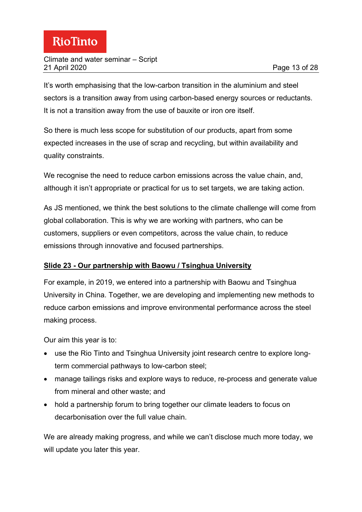It's worth emphasising that the low-carbon transition in the aluminium and steel sectors is a transition away from using carbon-based energy sources or reductants. It is not a transition away from the use of bauxite or iron ore itself.

So there is much less scope for substitution of our products, apart from some expected increases in the use of scrap and recycling, but within availability and quality constraints.

We recognise the need to reduce carbon emissions across the value chain, and, although it isn't appropriate or practical for us to set targets, we are taking action.

As JS mentioned, we think the best solutions to the climate challenge will come from global collaboration. This is why we are working with partners, who can be customers, suppliers or even competitors, across the value chain, to reduce emissions through innovative and focused partnerships.

# **Slide 23 - Our partnership with Baowu / Tsinghua University**

For example, in 2019, we entered into a partnership with Baowu and Tsinghua University in China. Together, we are developing and implementing new methods to reduce carbon emissions and improve environmental performance across the steel making process.

Our aim this year is to:

- use the Rio Tinto and Tsinghua University joint research centre to explore longterm commercial pathways to low-carbon steel;
- manage tailings risks and explore ways to reduce, re-process and generate value from mineral and other waste; and
- hold a partnership forum to bring together our climate leaders to focus on decarbonisation over the full value chain.

We are already making progress, and while we can't disclose much more today, we will update you later this year.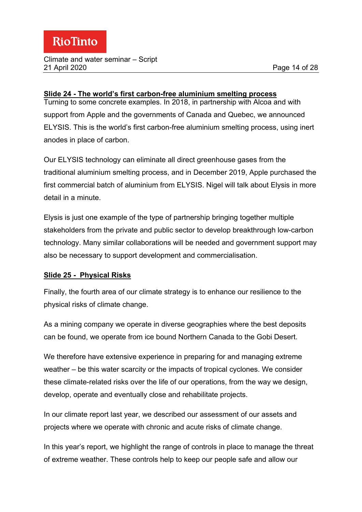#### Climate and water seminar – Script 21 April 2020 Page 14 of 28

#### **Slide 24 - The world's first carbon-free aluminium smelting process**

Turning to some concrete examples. In 2018, in partnership with Alcoa and with support from Apple and the governments of Canada and Quebec, we announced ELYSIS. This is the world's first carbon-free aluminium smelting process, using inert anodes in place of carbon.

Our ELYSIS technology can eliminate all direct greenhouse gases from the traditional aluminium smelting process, and in December 2019, Apple purchased the first commercial batch of aluminium from ELYSIS. Nigel will talk about Elysis in more detail in a minute.

Elysis is just one example of the type of partnership bringing together multiple stakeholders from the private and public sector to develop breakthrough low-carbon technology. Many similar collaborations will be needed and government support may also be necessary to support development and commercialisation.

# **Slide 25 - Physical Risks**

Finally, the fourth area of our climate strategy is to enhance our resilience to the physical risks of climate change.

As a mining company we operate in diverse geographies where the best deposits can be found, we operate from ice bound Northern Canada to the Gobi Desert.

We therefore have extensive experience in preparing for and managing extreme weather – be this water scarcity or the impacts of tropical cyclones. We consider these climate-related risks over the life of our operations, from the way we design, develop, operate and eventually close and rehabilitate projects.

In our climate report last year, we described our assessment of our assets and projects where we operate with chronic and acute risks of climate change.

In this year's report, we highlight the range of controls in place to manage the threat of extreme weather. These controls help to keep our people safe and allow our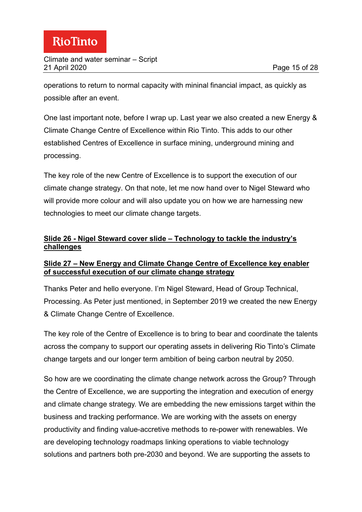operations to return to normal capacity with mininal financial impact, as quickly as possible after an event.

One last important note, before I wrap up. Last year we also created a new Energy & Climate Change Centre of Excellence within Rio Tinto. This adds to our other established Centres of Excellence in surface mining, underground mining and processing.

The key role of the new Centre of Excellence is to support the execution of our climate change strategy. On that note, let me now hand over to Nigel Steward who will provide more colour and will also update you on how we are harnessing new technologies to meet our climate change targets.

### **Slide 26 - Nigel Steward cover slide – Technology to tackle the industry's challenges**

### **Slide 27 – New Energy and Climate Change Centre of Excellence key enabler of successful execution of our climate change strategy**

Thanks Peter and hello everyone. I'm Nigel Steward, Head of Group Technical, Processing. As Peter just mentioned, in September 2019 we created the new Energy & Climate Change Centre of Excellence.

The key role of the Centre of Excellence is to bring to bear and coordinate the talents across the company to support our operating assets in delivering Rio Tinto's Climate change targets and our longer term ambition of being carbon neutral by 2050.

So how are we coordinating the climate change network across the Group? Through the Centre of Excellence, we are supporting the integration and execution of energy and climate change strategy. We are embedding the new emissions target within the business and tracking performance. We are working with the assets on energy productivity and finding value-accretive methods to re-power with renewables. We are developing technology roadmaps linking operations to viable technology solutions and partners both pre-2030 and beyond. We are supporting the assets to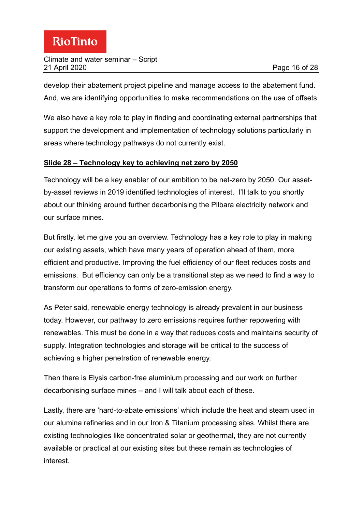#### Climate and water seminar – Script 21 April 2020 Page 16 of 28

develop their abatement project pipeline and manage access to the abatement fund. And, we are identifying opportunities to make recommendations on the use of offsets

We also have a key role to play in finding and coordinating external partnerships that support the development and implementation of technology solutions particularly in areas where technology pathways do not currently exist.

# **Slide 28 – Technology key to achieving net zero by 2050**

Technology will be a key enabler of our ambition to be net-zero by 2050. Our assetby-asset reviews in 2019 identified technologies of interest. I'll talk to you shortly about our thinking around further decarbonising the Pilbara electricity network and our surface mines.

But firstly, let me give you an overview. Technology has a key role to play in making our existing assets, which have many years of operation ahead of them, more efficient and productive. Improving the fuel efficiency of our fleet reduces costs and emissions. But efficiency can only be a transitional step as we need to find a way to transform our operations to forms of zero-emission energy.

As Peter said, renewable energy technology is already prevalent in our business today. However, our pathway to zero emissions requires further repowering with renewables. This must be done in a way that reduces costs and maintains security of supply. Integration technologies and storage will be critical to the success of achieving a higher penetration of renewable energy.

Then there is Elysis carbon-free aluminium processing and our work on further decarbonising surface mines – and I will talk about each of these.

Lastly, there are 'hard-to-abate emissions' which include the heat and steam used in our alumina refineries and in our Iron & Titanium processing sites. Whilst there are existing technologies like concentrated solar or geothermal, they are not currently available or practical at our existing sites but these remain as technologies of interest.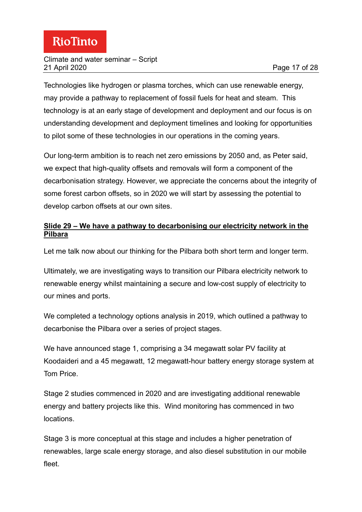#### Climate and water seminar – Script 21 April 2020 Page 17 of 28

Technologies like hydrogen or plasma torches, which can use renewable energy, may provide a pathway to replacement of fossil fuels for heat and steam. This technology is at an early stage of development and deployment and our focus is on understanding development and deployment timelines and looking for opportunities to pilot some of these technologies in our operations in the coming years.

Our long-term ambition is to reach net zero emissions by 2050 and, as Peter said, we expect that high-quality offsets and removals will form a component of the decarbonisation strategy. However, we appreciate the concerns about the integrity of some forest carbon offsets, so in 2020 we will start by assessing the potential to develop carbon offsets at our own sites.

# **Slide 29 – We have a pathway to decarbonising our electricity network in the Pilbara**

Let me talk now about our thinking for the Pilbara both short term and longer term.

Ultimately, we are investigating ways to transition our Pilbara electricity network to renewable energy whilst maintaining a secure and low-cost supply of electricity to our mines and ports.

We completed a technology options analysis in 2019, which outlined a pathway to decarbonise the Pilbara over a series of project stages.

We have announced stage 1, comprising a 34 megawatt solar PV facility at Koodaideri and a 45 megawatt, 12 megawatt-hour battery energy storage system at Tom Price.

Stage 2 studies commenced in 2020 and are investigating additional renewable energy and battery projects like this. Wind monitoring has commenced in two locations.

Stage 3 is more conceptual at this stage and includes a higher penetration of renewables, large scale energy storage, and also diesel substitution in our mobile fleet.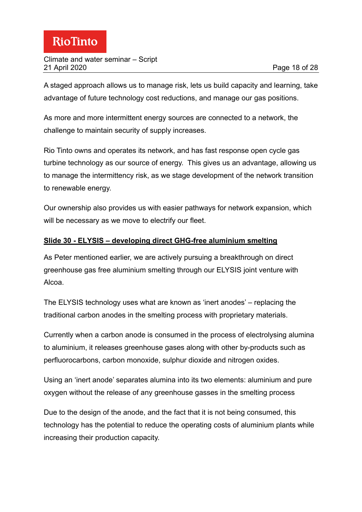A staged approach allows us to manage risk, lets us build capacity and learning, take advantage of future technology cost reductions, and manage our gas positions.

As more and more intermittent energy sources are connected to a network, the challenge to maintain security of supply increases.

Rio Tinto owns and operates its network, and has fast response open cycle gas turbine technology as our source of energy. This gives us an advantage, allowing us to manage the intermittency risk, as we stage development of the network transition to renewable energy.

Our ownership also provides us with easier pathways for network expansion, which will be necessary as we move to electrify our fleet.

# **Slide 30 - ELYSIS – developing direct GHG-free aluminium smelting**

As Peter mentioned earlier, we are actively pursuing a breakthrough on direct greenhouse gas free aluminium smelting through our ELYSIS joint venture with Alcoa.

The ELYSIS technology uses what are known as 'inert anodes' – replacing the traditional carbon anodes in the smelting process with proprietary materials.

Currently when a carbon anode is consumed in the process of electrolysing alumina to aluminium, it releases greenhouse gases along with other by-products such as perfluorocarbons, carbon monoxide, sulphur dioxide and nitrogen oxides.

Using an 'inert anode' separates alumina into its two elements: aluminium and pure oxygen without the release of any greenhouse gasses in the smelting process

Due to the design of the anode, and the fact that it is not being consumed, this technology has the potential to reduce the operating costs of aluminium plants while increasing their production capacity.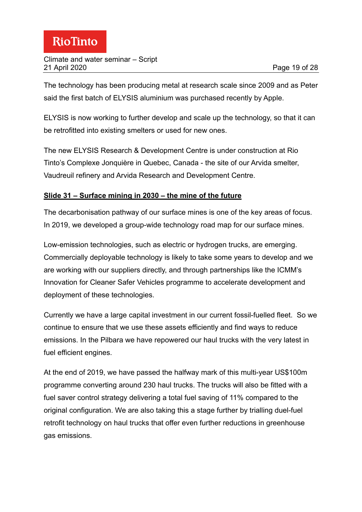The technology has been producing metal at research scale since 2009 and as Peter said the first batch of ELYSIS aluminium was purchased recently by Apple.

ELYSIS is now working to further develop and scale up the technology, so that it can be retrofitted into existing smelters or used for new ones.

The new ELYSIS Research & Development Centre is under construction at Rio Tinto's Complexe Jonquière in Quebec, Canada - the site of our Arvida smelter, Vaudreuil refinery and Arvida Research and Development Centre.

# **Slide 31 – Surface mining in 2030 – the mine of the future**

The decarbonisation pathway of our surface mines is one of the key areas of focus. In 2019, we developed a group-wide technology road map for our surface mines.

Low-emission technologies, such as electric or hydrogen trucks, are emerging. Commercially deployable technology is likely to take some years to develop and we are working with our suppliers directly, and through partnerships like the ICMM's Innovation for Cleaner Safer Vehicles programme to accelerate development and deployment of these technologies.

Currently we have a large capital investment in our current fossil-fuelled fleet. So we continue to ensure that we use these assets efficiently and find ways to reduce emissions. In the Pilbara we have repowered our haul trucks with the very latest in fuel efficient engines.

At the end of 2019, we have passed the halfway mark of this multi-year US\$100m programme converting around 230 haul trucks. The trucks will also be fitted with a fuel saver control strategy delivering a total fuel saving of 11% compared to the original configuration. We are also taking this a stage further by trialling duel-fuel retrofit technology on haul trucks that offer even further reductions in greenhouse gas emissions.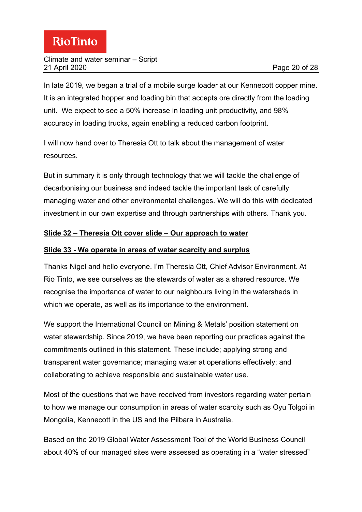In late 2019, we began a trial of a mobile surge loader at our Kennecott copper mine. It is an integrated hopper and loading bin that accepts ore directly from the loading unit. We expect to see a 50% increase in loading unit productivity, and 98% accuracy in loading trucks, again enabling a reduced carbon footprint.

I will now hand over to Theresia Ott to talk about the management of water resources.

But in summary it is only through technology that we will tackle the challenge of decarbonising our business and indeed tackle the important task of carefully managing water and other environmental challenges. We will do this with dedicated investment in our own expertise and through partnerships with others. Thank you.

# **Slide 32 – Theresia Ott cover slide – Our approach to water**

#### **Slide 33 - We operate in areas of water scarcity and surplus**

Thanks Nigel and hello everyone. I'm Theresia Ott, Chief Advisor Environment. At Rio Tinto, we see ourselves as the stewards of water as a shared resource. We recognise the importance of water to our neighbours living in the watersheds in which we operate, as well as its importance to the environment.

We support the International [Council on Mining & Metals' position statement on](https://www.icmm.com/water-ps)  [water stewardship.](https://www.icmm.com/water-ps) Since 2019, we have been reporting our practices against the commitments outlined in this statement. These include; applying strong and transparent water governance; managing water at operations effectively; and collaborating to achieve responsible and sustainable water use.

Most of the questions that we have received from investors regarding water pertain to how we manage our consumption in areas of water scarcity such as Oyu Tolgoi in Mongolia, Kennecott in the US and the Pilbara in Australia.

Based on the 2019 [Global Water Assessment Tool](https://www.wbcsd.org/Programs/Food-Land-Water/Water/Resources/Global-Water-Tool) of the World Business Council about 40% of our managed sites were assessed as operating in a "water stressed"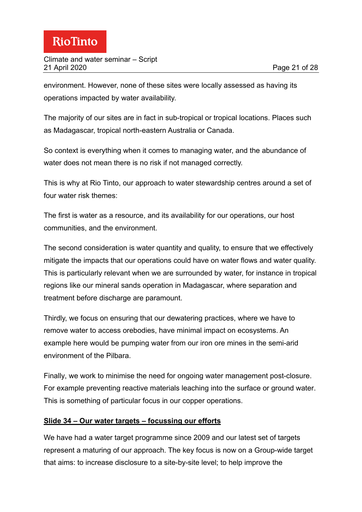environment. However, none of these sites were locally assessed as having its operations impacted by water availability.

The majority of our sites are in fact in sub-tropical or tropical locations. Places such as Madagascar, tropical north-eastern Australia or Canada.

So context is everything when it comes to managing water, and the abundance of water does not mean there is no risk if not managed correctly.

This is why at Rio Tinto, our approach to water stewardship centres around a set of four water risk themes:

The first is water as a resource, and its availability for our operations, our host communities, and the environment.

The second consideration is water quantity and quality, to ensure that we effectively mitigate the impacts that our operations could have on water flows and water quality. This is particularly relevant when we are surrounded by water, for instance in tropical regions like our mineral sands operation in Madagascar, where separation and treatment before discharge are paramount.

Thirdly, we focus on ensuring that our dewatering practices, where we have to remove water to access orebodies, have minimal impact on ecosystems. An example here would be pumping water from our iron ore mines in the semi-arid environment of the Pilbara.

Finally, we work to minimise the need for ongoing water management post-closure. For example preventing reactive materials leaching into the surface or ground water. This is something of particular focus in our copper operations.

# **Slide 34 – Our water targets – focussing our efforts**

We have had a water target programme since 2009 and our latest set of targets represent a maturing of our approach. The key focus is now on a Group-wide target that aims: to increase disclosure to a site-by-site level; to help improve the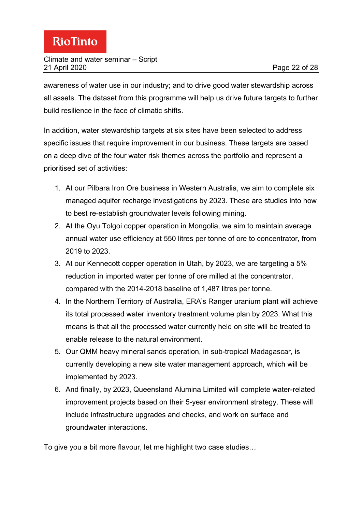awareness of water use in our industry; and to drive good water stewardship across all assets. The dataset from this programme will help us drive future targets to further build resilience in the face of climatic shifts.

In addition, water stewardship targets at six sites have been selected to address specific issues that require improvement in our business. These targets are based on a deep dive of the four water risk themes across the portfolio and represent a prioritised set of activities:

- 1. At our Pilbara Iron Ore business in Western Australia, we aim to complete six managed aquifer recharge investigations by 2023. These are studies into how to best re-establish groundwater levels following mining.
- 2. At the Oyu Tolgoi copper operation in Mongolia, we aim to maintain average annual water use efficiency at 550 litres per tonne of ore to concentrator, from 2019 to 2023.
- 3. At our Kennecott copper operation in Utah, by 2023, we are targeting a 5% reduction in imported water per tonne of ore milled at the concentrator, compared with the 2014-2018 baseline of 1,487 litres per tonne.
- 4. In the Northern Territory of Australia, ERA's Ranger uranium plant will achieve its total processed water inventory treatment volume plan by 2023. What this means is that all the processed water currently held on site will be treated to enable release to the natural environment.
- 5. Our QMM heavy mineral sands operation, in sub-tropical Madagascar, is currently developing a new site water management approach, which will be implemented by 2023.
- 6. And finally, by 2023, Queensland Alumina Limited will complete water-related improvement projects based on their 5-year environment strategy. These will include infrastructure upgrades and checks, and work on surface and groundwater interactions.

To give you a bit more flavour, let me highlight two case studies…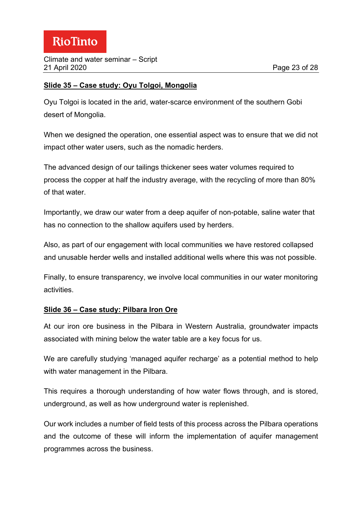#### **Slide 35 – Case study: Oyu Tolgoi, Mongolia**

Oyu Tolgoi is located in the arid, water-scarce environment of the southern Gobi desert of Mongolia.

When we designed the operation, one essential aspect was to ensure that we did not impact other water users, such as the nomadic herders.

The advanced design of our tailings thickener sees water volumes required to process the copper at half the industry average, with the recycling of more than 80% of that water.

Importantly, we draw our water from a deep aquifer of non-potable, saline water that has no connection to the shallow aquifers used by herders.

Also, as part of our engagement with local communities we have restored collapsed and unusable herder wells and installed additional wells where this was not possible.

Finally, to ensure transparency, we involve local communities in our water monitoring activities.

#### **Slide 36 – Case study: Pilbara Iron Ore**

At our iron ore business in the Pilbara in Western Australia, groundwater impacts associated with mining below the water table are a key focus for us.

We are carefully studying 'managed aquifer recharge' as a potential method to help with water management in the Pilbara.

This requires a thorough understanding of how water flows through, and is stored, underground, as well as how underground water is replenished.

Our work includes a number of field tests of this process across the Pilbara operations and the outcome of these will inform the implementation of aquifer management programmes across the business.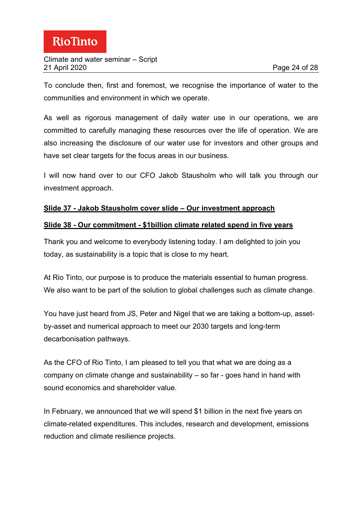To conclude then, first and foremost, we recognise the importance of water to the communities and environment in which we operate.

As well as rigorous management of daily water use in our operations, we are committed to carefully managing these resources over the life of operation. We are also increasing the disclosure of our water use for investors and other groups and have set clear targets for the focus areas in our business.

I will now hand over to our CFO Jakob Stausholm who will talk you through our investment approach.

#### **Slide 37 - Jakob Stausholm cover slide – Our investment approach**

#### **Slide 38 - Our commitment - \$1billion climate related spend in five years**

Thank you and welcome to everybody listening today. I am delighted to join you today, as sustainability is a topic that is close to my heart.

At Rio Tinto, our purpose is to produce the materials essential to human progress. We also want to be part of the solution to global challenges such as climate change.

You have just heard from JS, Peter and Nigel that we are taking a bottom-up, assetby-asset and numerical approach to meet our 2030 targets and long-term decarbonisation pathways.

As the CFO of Rio Tinto, I am pleased to tell you that what we are doing as a company on climate change and sustainability – so far - goes hand in hand with sound economics and shareholder value.

In February, we announced that we will spend \$1 billion in the next five years on climate-related expenditures. This includes, research and development, emissions reduction and climate resilience projects.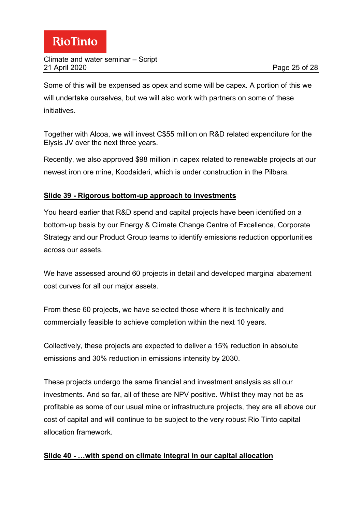Some of this will be expensed as opex and some will be capex. A portion of this we will undertake ourselves, but we will also work with partners on some of these initiatives.

Together with Alcoa, we will invest C\$55 million on R&D related expenditure for the Elysis JV over the next three years.

Recently, we also approved \$98 million in capex related to renewable projects at our newest iron ore mine, Koodaideri, which is under construction in the Pilbara.

# **Slide 39 - Rigorous bottom-up approach to investments**

You heard earlier that R&D spend and capital projects have been identified on a bottom-up basis by our Energy & Climate Change Centre of Excellence, Corporate Strategy and our Product Group teams to identify emissions reduction opportunities across our assets.

We have assessed around 60 projects in detail and developed marginal abatement cost curves for all our major assets.

From these 60 projects, we have selected those where it is technically and commercially feasible to achieve completion within the next 10 years.

Collectively, these projects are expected to deliver a 15% reduction in absolute emissions and 30% reduction in emissions intensity by 2030.

These projects undergo the same financial and investment analysis as all our investments. And so far, all of these are NPV positive. Whilst they may not be as profitable as some of our usual mine or infrastructure projects, they are all above our cost of capital and will continue to be subject to the very robust Rio Tinto capital allocation framework.

# **Slide 40 - …with spend on climate integral in our capital allocation**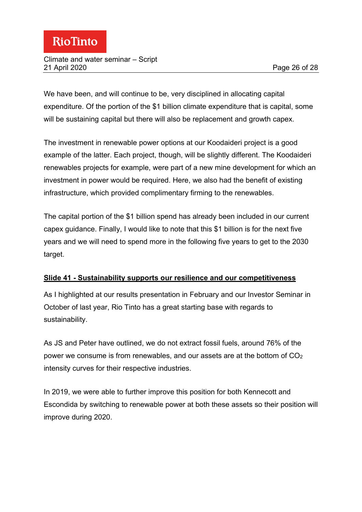#### Climate and water seminar – Script 21 April 2020 Page 26 of 28

We have been, and will continue to be, very disciplined in allocating capital expenditure. Of the portion of the \$1 billion climate expenditure that is capital, some will be sustaining capital but there will also be replacement and growth capex.

The investment in renewable power options at our Koodaideri project is a good example of the latter. Each project, though, will be slightly different. The Koodaideri renewables projects for example, were part of a new mine development for which an investment in power would be required. Here, we also had the benefit of existing infrastructure, which provided complimentary firming to the renewables.

The capital portion of the \$1 billion spend has already been included in our current capex guidance. Finally, I would like to note that this \$1 billion is for the next five years and we will need to spend more in the following five years to get to the 2030 target.

#### **Slide 41 - Sustainability supports our resilience and our competitiveness**

As I highlighted at our results presentation in February and our Investor Seminar in October of last year, Rio Tinto has a great starting base with regards to sustainability.

As JS and Peter have outlined, we do not extract fossil fuels, around 76% of the power we consume is from renewables, and our assets are at the bottom of CO2 intensity curves for their respective industries.

In 2019, we were able to further improve this position for both Kennecott and Escondida by switching to renewable power at both these assets so their position will improve during 2020.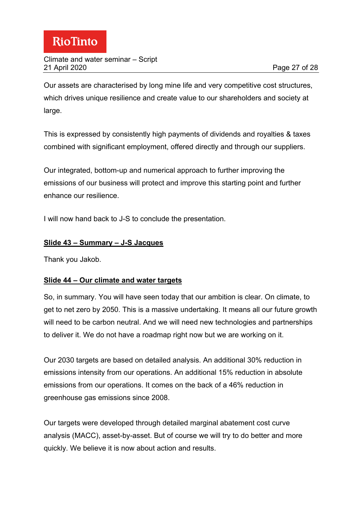Our assets are characterised by long mine life and very competitive cost structures, which drives unique resilience and create value to our shareholders and society at large.

This is expressed by consistently high payments of dividends and royalties & taxes combined with significant employment, offered directly and through our suppliers.

Our integrated, bottom-up and numerical approach to further improving the emissions of our business will protect and improve this starting point and further enhance our resilience.

I will now hand back to J-S to conclude the presentation.

### **Slide 43 – Summary – J-S Jacques**

Thank you Jakob.

# **Slide 44 – Our climate and water targets**

So, in summary. You will have seen today that our ambition is clear. On climate, to get to net zero by 2050. This is a massive undertaking. It means all our future growth will need to be carbon neutral. And we will need new technologies and partnerships to deliver it. We do not have a roadmap right now but we are working on it.

Our 2030 targets are based on detailed analysis. An additional 30% reduction in emissions intensity from our operations. An additional 15% reduction in absolute emissions from our operations. It comes on the back of a 46% reduction in greenhouse gas emissions since 2008.

Our targets were developed through detailed marginal abatement cost curve analysis (MACC), asset-by-asset. But of course we will try to do better and more quickly. We believe it is now about action and results.